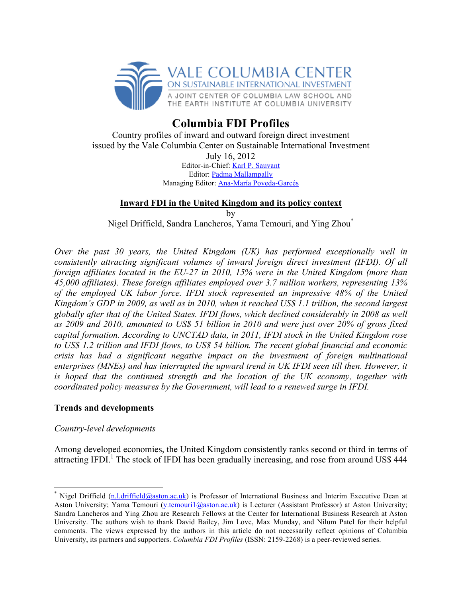

# **Columbia FDI Profiles**

Country profiles of inward and outward foreign direct investment issued by the Vale Columbia Center on Sustainable International Investment July 16, 2012 Editor-in-Chief: Karl P. Sauvant Editor: Padma Mallampally Managing Editor: Ana-María Poveda-Garcés

## **Inward FDI in the United Kingdom and its policy context** by

Nigel Driffield, Sandra Lancheros, Yama Temouri, and Ying Zhou\*

*Over the past 30 years, the United Kingdom (UK) has performed exceptionally well in consistently attracting significant volumes of inward foreign direct investment (IFDI). Of all foreign affiliates located in the EU-27 in 2010, 15% were in the United Kingdom (more than 45,000 affiliates). These foreign affiliates employed over 3.7 million workers, representing 13% of the employed UK labor force. IFDI stock represented an impressive 48% of the United Kingdom's GDP in 2009, as well as in 2010, when it reached US\$ 1.1 trillion, the second largest globally after that of the United States. IFDI flows, which declined considerably in 2008 as well as 2009 and 2010, amounted to US\$ 51 billion in 2010 and were just over 20% of gross fixed capital formation. According to UNCTAD data, in 2011, IFDI stock in the United Kingdom rose to US\$ 1.2 trillion and IFDI flows, to US\$ 54 billion. The recent global financial and economic crisis has had a significant negative impact on the investment of foreign multinational enterprises (MNEs) and has interrupted the upward trend in UK IFDI seen till then. However, it is hoped that the continued strength and the location of the UK economy, together with coordinated policy measures by the Government, will lead to a renewed surge in IFDI.* 

### **Trends and developments**

### *Country-level developments*

Among developed economies, the United Kingdom consistently ranks second or third in terms of attracting IFDI.<sup>1</sup> The stock of IFDI has been gradually increasing, and rose from around US\$ 444

\* Nigel Driffield (n.l.driffield@aston.ac.uk) is Professor of International Business and Interim Executive Dean at Aston University; Yama Temouri (y.temouri1@aston.ac.uk) is Lecturer (Assistant Professor) at Aston University; Sandra Lancheros and Ying Zhou are Research Fellows at the Center for International Business Research at Aston University. The authors wish to thank David Bailey, Jim Love, Max Munday, and Nilum Patel for their helpful comments. The views expressed by the authors in this article do not necessarily reflect opinions of Columbia University, its partners and supporters. *Columbia FDI Profiles* (ISSN: 2159-2268) is a peer-reviewed series.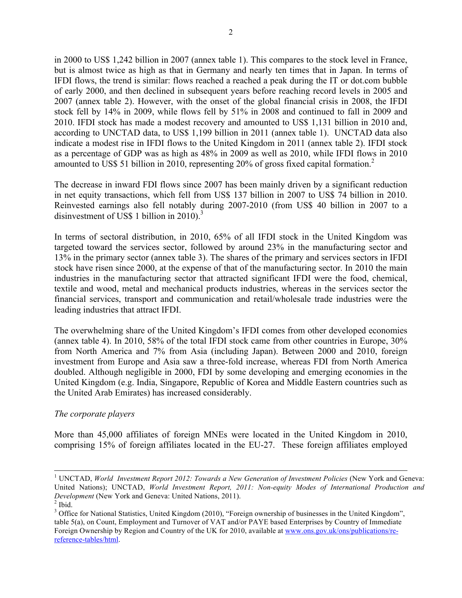in 2000 to US\$ 1,242 billion in 2007 (annex table 1). This compares to the stock level in France, but is almost twice as high as that in Germany and nearly ten times that in Japan. In terms of IFDI flows, the trend is similar: flows reached a reached a peak during the IT or dot.com bubble of early 2000, and then declined in subsequent years before reaching record levels in 2005 and 2007 (annex table 2). However, with the onset of the global financial crisis in 2008, the IFDI stock fell by 14% in 2009, while flows fell by 51% in 2008 and continued to fall in 2009 and 2010. IFDI stock has made a modest recovery and amounted to US\$ 1,131 billion in 2010 and, according to UNCTAD data, to US\$ 1,199 billion in 2011 (annex table 1). UNCTAD data also indicate a modest rise in IFDI flows to the United Kingdom in 2011 (annex table 2). IFDI stock as a percentage of GDP was as high as 48% in 2009 as well as 2010, while IFDI flows in 2010 amounted to US\$ 51 billion in 2010, representing 20% of gross fixed capital formation.2

The decrease in inward FDI flows since 2007 has been mainly driven by a significant reduction in net equity transactions, which fell from US\$ 137 billion in 2007 to US\$ 74 billion in 2010. Reinvested earnings also fell notably during 2007-2010 (from US\$ 40 billion in 2007 to a disinvestment of US\$ 1 billion in 2010).<sup>3</sup>

In terms of sectoral distribution, in 2010, 65% of all IFDI stock in the United Kingdom was targeted toward the services sector, followed by around 23% in the manufacturing sector and 13% in the primary sector (annex table 3). The shares of the primary and services sectors in IFDI stock have risen since 2000, at the expense of that of the manufacturing sector. In 2010 the main industries in the manufacturing sector that attracted significant IFDI were the food, chemical, textile and wood, metal and mechanical products industries, whereas in the services sector the financial services, transport and communication and retail/wholesale trade industries were the leading industries that attract IFDI.

The overwhelming share of the United Kingdom's IFDI comes from other developed economies (annex table 4). In 2010, 58% of the total IFDI stock came from other countries in Europe, 30% from North America and 7% from Asia (including Japan). Between 2000 and 2010, foreign investment from Europe and Asia saw a three-fold increase, whereas FDI from North America doubled. Although negligible in 2000, FDI by some developing and emerging economies in the United Kingdom (e.g. India, Singapore, Republic of Korea and Middle Eastern countries such as the United Arab Emirates) has increased considerably.

#### *The corporate players*

More than 45,000 affiliates of foreign MNEs were located in the United Kingdom in 2010, comprising 15% of foreign affiliates located in the EU-27. These foreign affiliates employed

<sup>&</sup>lt;sup>1</sup> UNCTAD, *World Investment Report 2012: Towards a New Generation of Investment Policies (New York and Geneva:* United Nations); UNCTAD, *World Investment Report, 2011: Non-equity Modes of International Production and Development* (New York and Geneva: United Nations, 2011).

 $<sup>2</sup>$  Ibid.</sup>

<sup>&</sup>lt;sup>3</sup> Office for National Statistics, United Kingdom (2010), "Foreign ownership of businesses in the United Kingdom", table 5(a), on Count, Employment and Turnover of VAT and/or PAYE based Enterprises by Country of Immediate Foreign Ownership by Region and Country of the UK for 2010, available at www.ons.gov.uk/ons/publications/rereference-tables/html.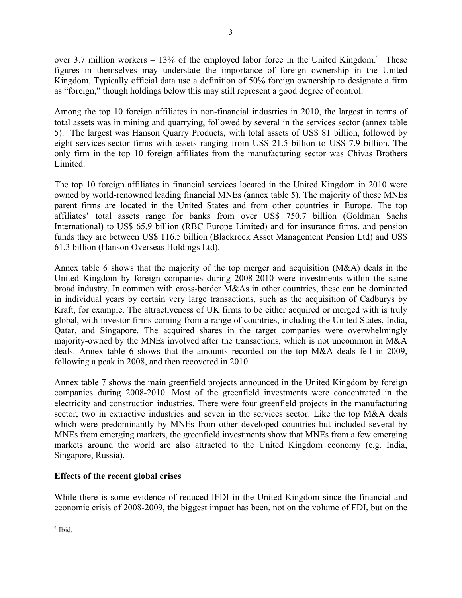over 3.7 million workers  $-13%$  of the employed labor force in the United Kingdom.<sup>4</sup> These figures in themselves may understate the importance of foreign ownership in the United Kingdom. Typically official data use a definition of 50% foreign ownership to designate a firm as "foreign," though holdings below this may still represent a good degree of control.

Among the top 10 foreign affiliates in non-financial industries in 2010, the largest in terms of total assets was in mining and quarrying, followed by several in the services sector (annex table 5). The largest was Hanson Quarry Products, with total assets of US\$ 81 billion, followed by eight services-sector firms with assets ranging from US\$ 21.5 billion to US\$ 7.9 billion. The only firm in the top 10 foreign affiliates from the manufacturing sector was Chivas Brothers Limited.

The top 10 foreign affiliates in financial services located in the United Kingdom in 2010 were owned by world-renowned leading financial MNEs (annex table 5). The majority of these MNEs parent firms are located in the United States and from other countries in Europe. The top affiliates' total assets range for banks from over US\$ 750.7 billion (Goldman Sachs International) to US\$ 65.9 billion (RBC Europe Limited) and for insurance firms, and pension funds they are between US\$ 116.5 billion (Blackrock Asset Management Pension Ltd) and US\$ 61.3 billion (Hanson Overseas Holdings Ltd).

Annex table 6 shows that the majority of the top merger and acquisition (M&A) deals in the United Kingdom by foreign companies during 2008-2010 were investments within the same broad industry. In common with cross-border M&As in other countries, these can be dominated in individual years by certain very large transactions, such as the acquisition of Cadburys by Kraft, for example. The attractiveness of UK firms to be either acquired or merged with is truly global, with investor firms coming from a range of countries, including the United States, India, Qatar, and Singapore. The acquired shares in the target companies were overwhelmingly majority-owned by the MNEs involved after the transactions, which is not uncommon in M&A deals. Annex table 6 shows that the amounts recorded on the top M&A deals fell in 2009, following a peak in 2008, and then recovered in 2010.

Annex table 7 shows the main greenfield projects announced in the United Kingdom by foreign companies during 2008-2010. Most of the greenfield investments were concentrated in the electricity and construction industries. There were four greenfield projects in the manufacturing sector, two in extractive industries and seven in the services sector. Like the top M&A deals which were predominantly by MNEs from other developed countries but included several by MNEs from emerging markets, the greenfield investments show that MNEs from a few emerging markets around the world are also attracted to the United Kingdom economy (e.g. India, Singapore, Russia).

### **Effects of the recent global crises**

While there is some evidence of reduced IFDI in the United Kingdom since the financial and economic crisis of 2008-2009, the biggest impact has been, not on the volume of FDI, but on the

 $4$  Ibid.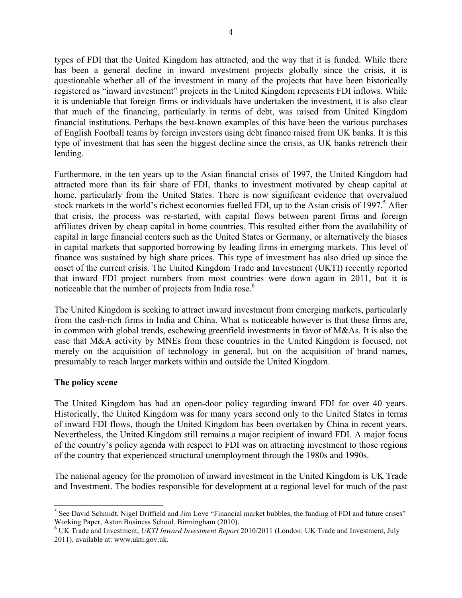types of FDI that the United Kingdom has attracted, and the way that it is funded. While there has been a general decline in inward investment projects globally since the crisis, it is questionable whether all of the investment in many of the projects that have been historically registered as "inward investment" projects in the United Kingdom represents FDI inflows. While it is undeniable that foreign firms or individuals have undertaken the investment, it is also clear that much of the financing, particularly in terms of debt, was raised from United Kingdom financial institutions. Perhaps the best-known examples of this have been the various purchases of English Football teams by foreign investors using debt finance raised from UK banks. It is this type of investment that has seen the biggest decline since the crisis, as UK banks retrench their lending.

Furthermore, in the ten years up to the Asian financial crisis of 1997, the United Kingdom had attracted more than its fair share of FDI, thanks to investment motivated by cheap capital at home, particularly from the United States. There is now significant evidence that overvalued stock markets in the world's richest economies fuelled FDI, up to the Asian crisis of 1997.<sup>5</sup> After that crisis, the process was re-started, with capital flows between parent firms and foreign affiliates driven by cheap capital in home countries. This resulted either from the availability of capital in large financial centers such as the United States or Germany, or alternatively the biases in capital markets that supported borrowing by leading firms in emerging markets. This level of finance was sustained by high share prices. This type of investment has also dried up since the onset of the current crisis. The United Kingdom Trade and Investment (UKTI) recently reported that inward FDI project numbers from most countries were down again in 2011, but it is noticeable that the number of projects from India rose.<sup>6</sup>

The United Kingdom is seeking to attract inward investment from emerging markets, particularly from the cash-rich firms in India and China. What is noticeable however is that these firms are, in common with global trends, eschewing greenfield investments in favor of M&As. It is also the case that M&A activity by MNEs from these countries in the United Kingdom is focused, not merely on the acquisition of technology in general, but on the acquisition of brand names, presumably to reach larger markets within and outside the United Kingdom.

#### **The policy scene**

The United Kingdom has had an open-door policy regarding inward FDI for over 40 years. Historically, the United Kingdom was for many years second only to the United States in terms of inward FDI flows, though the United Kingdom has been overtaken by China in recent years. Nevertheless, the United Kingdom still remains a major recipient of inward FDI. A major focus of the country's policy agenda with respect to FDI was on attracting investment to those regions of the country that experienced structural unemployment through the 1980s and 1990s.

The national agency for the promotion of inward investment in the United Kingdom is UK Trade and Investment. The bodies responsible for development at a regional level for much of the past

<sup>&</sup>lt;sup>5</sup> See David Schmidt, Nigel Driffield and Jim Love "Financial market bubbles, the funding of FDI and future crises" Working Paper, Aston Business School*,* Birmingham (2010). <sup>6</sup> UK Trade and Investment, *UKTI Inward Investment Report* 2010/2011 (London: UK Trade and Investment, July

<sup>2011),</sup> available at: www.ukti.gov.uk.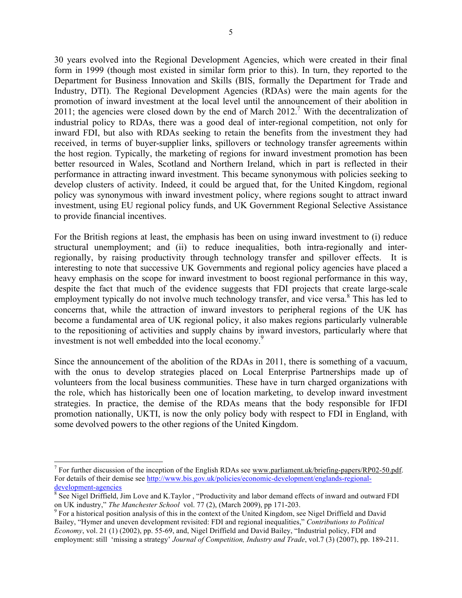30 years evolved into the Regional Development Agencies, which were created in their final form in 1999 (though most existed in similar form prior to this). In turn, they reported to the Department for Business Innovation and Skills (BIS, formally the Department for Trade and Industry, DTI). The Regional Development Agencies (RDAs) were the main agents for the promotion of inward investment at the local level until the announcement of their abolition in 2011; the agencies were closed down by the end of March 2012.<sup>7</sup> With the decentralization of industrial policy to RDAs, there was a good deal of inter-regional competition, not only for inward FDI, but also with RDAs seeking to retain the benefits from the investment they had received, in terms of buyer-supplier links, spillovers or technology transfer agreements within the host region. Typically, the marketing of regions for inward investment promotion has been better resourced in Wales, Scotland and Northern Ireland, which in part is reflected in their performance in attracting inward investment. This became synonymous with policies seeking to develop clusters of activity. Indeed, it could be argued that, for the United Kingdom, regional policy was synonymous with inward investment policy, where regions sought to attract inward investment, using EU regional policy funds, and UK Government Regional Selective Assistance to provide financial incentives.

For the British regions at least, the emphasis has been on using inward investment to (i) reduce structural unemployment; and (ii) to reduce inequalities, both intra-regionally and interregionally, by raising productivity through technology transfer and spillover effects. It is interesting to note that successive UK Governments and regional policy agencies have placed a heavy emphasis on the scope for inward investment to boost regional performance in this way, despite the fact that much of the evidence suggests that FDI projects that create large-scale employment typically do not involve much technology transfer, and vice versa.<sup>8</sup> This has led to concerns that, while the attraction of inward investors to peripheral regions of the UK has become a fundamental area of UK regional policy, it also makes regions particularly vulnerable to the repositioning of activities and supply chains by inward investors, particularly where that investment is not well embedded into the local economy.<sup>9</sup>

Since the announcement of the abolition of the RDAs in 2011, there is something of a vacuum, with the onus to develop strategies placed on Local Enterprise Partnerships made up of volunteers from the local business communities. These have in turn charged organizations with the role, which has historically been one of location marketing, to develop inward investment strategies. In practice, the demise of the RDAs means that the body responsible for IFDI promotion nationally, UKTI, is now the only policy body with respect to FDI in England, with some devolved powers to the other regions of the United Kingdom.

<sup>&</sup>lt;sup>7</sup> For further discussion of the inception of the English RDAs see <u>www.parliament.uk/briefing-papers/RP02-50.pdf</u>. For details of their demise see http://www.bis.gov.uk/policies/economic-development/englands-regionaldevelopment-agencies

 $\delta$  See Nigel Driffield, Jim Love and K.Taylor , "Productivity and labor demand effects of inward and outward FDI on UK industry," *The Manchester School* vol. 77 (2), (March 2009), pp 171-203. <sup>9</sup>

<sup>&</sup>lt;sup>9</sup> For a historical position analysis of this in the context of the United Kingdom, see Nigel Driffield and David Bailey, "Hymer and uneven development revisited: FDI and regional inequalities," *Contributions to Political Economy*, vol. 21 (1) (2002), pp. 55-69, and, Nigel Driffield and David Bailey, "Industrial policy, FDI and employment: still 'missing a strategy' *Journal of Competition, Industry and Trade*, vol.7 (3) (2007), pp. 189-211.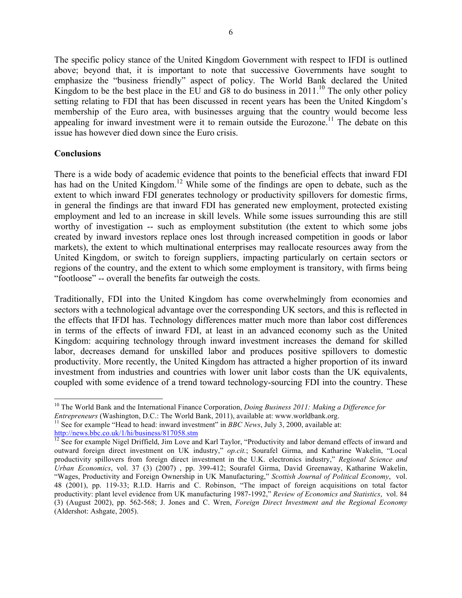The specific policy stance of the United Kingdom Government with respect to IFDI is outlined above; beyond that, it is important to note that successive Governments have sought to emphasize the "business friendly" aspect of policy. The World Bank declared the United Kingdom to be the best place in the EU and G8 to do business in 2011.<sup>10</sup> The only other policy setting relating to FDI that has been discussed in recent years has been the United Kingdom's membership of the Euro area, with businesses arguing that the country would become less appealing for inward investment were it to remain outside the Eurozone.<sup>11</sup> The debate on this issue has however died down since the Euro crisis.

#### **Conclusions**

There is a wide body of academic evidence that points to the beneficial effects that inward FDI has had on the United Kingdom.<sup>12</sup> While some of the findings are open to debate, such as the extent to which inward FDI generates technology or productivity spillovers for domestic firms, in general the findings are that inward FDI has generated new employment, protected existing employment and led to an increase in skill levels. While some issues surrounding this are still worthy of investigation -- such as employment substitution (the extent to which some jobs created by inward investors replace ones lost through increased competition in goods or labor markets), the extent to which multinational enterprises may reallocate resources away from the United Kingdom, or switch to foreign suppliers, impacting particularly on certain sectors or regions of the country, and the extent to which some employment is transitory, with firms being "footloose" -- overall the benefits far outweigh the costs.

Traditionally, FDI into the United Kingdom has come overwhelmingly from economies and sectors with a technological advantage over the corresponding UK sectors, and this is reflected in the effects that IFDI has. Technology differences matter much more than labor cost differences in terms of the effects of inward FDI, at least in an advanced economy such as the United Kingdom: acquiring technology through inward investment increases the demand for skilled labor, decreases demand for unskilled labor and produces positive spillovers to domestic productivity. More recently, the United Kingdom has attracted a higher proportion of its inward investment from industries and countries with lower unit labor costs than the UK equivalents, coupled with some evidence of a trend toward technology-sourcing FDI into the country. These

<sup>&</sup>lt;sup>10</sup> The World Bank and the International Finance Corporation, *Doing Business 2011: Making a Difference for Entrepreneurs* (Washington, D.C.: The World Bank, 2011), available at: www.worldbank.org.

<sup>&</sup>lt;sup>11</sup> See for example "Head to head: inward investment" in *BBC News*, July 3, 2000, available at:

http://news.bbc.co.uk/1/hi/business/817058.stm<br><sup>12</sup> See for example Nigel Driffield, Jim Love and Karl Taylor, "Productivity and labor demand effects of inward and outward foreign direct investment on UK industry," *op.cit.*; Sourafel Girma, and Katharine Wakelin, "Local productivity spillovers from foreign direct investment in the U.K. electronics industry," *Regional Science and Urban Economics*, vol. 37 (3) (2007) , pp. 399-412; Sourafel Girma, David Greenaway, Katharine Wakelin, "Wages, Productivity and Foreign Ownership in UK Manufacturing," *Scottish Journal of Political Economy*, vol. 48 (2001), pp. 119-33; R.I.D. Harris and C. Robinson, "The impact of foreign acquisitions on total factor productivity: plant level evidence from UK manufacturing 1987-1992," *Review of Economics and Statistics*, vol. 84 (3) (August 2002), pp. 562-568; J. Jones and C. Wren, *Foreign Direct Investment and the Regional Economy* (Aldershot: Ashgate, 2005).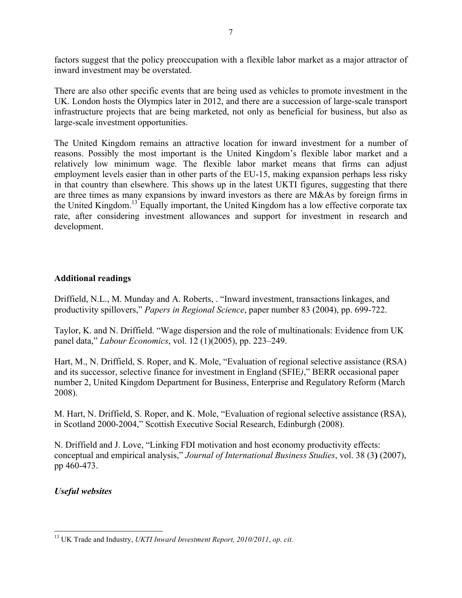factors suggest that the policy preoccupation with a flexible labor market as a major attractor of inward investment may be overstated.

There are also other specific events that are being used as vehicles to promote investment in the UK. London hosts the Olympics later in 2012, and there are a succession of large-scale transport infrastructure projects that are being marketed, not only as beneficial for business, but also as large-scale investment opportunities.

The United Kingdom remains an attractive location for inward investment for a number of reasons. Possibly the most important is the United Kingdom's flexible labor market and a relatively low minimum wage. The flexible labor market means that firms can adjust employment levels easier than in other parts of the EU-15, making expansion perhaps less risky in that country than elsewhere. This shows up in the latest UKTI figures, suggesting that there are three times as many expansions by inward investors as there are M&As by foreign firms in the United Kingdom.<sup>13</sup> Equally important, the United Kingdom has a low effective corporate tax rate, after considering investment allowances and support for investment in research and development.

### **Additional readings**

Driffield, N.L., M. Munday and A. Roberts, . "Inward investment, transactions linkages, and productivity spillovers," *Papers in Regional Science*, paper number 83 (2004), pp. 699-722.

Taylor, K. and N. Driffield. "Wage dispersion and the role of multinationals: Evidence from UK panel data," *Labour Economics*, vol. 12 (1)(2005), pp. 223–249.

Hart, M., N. Driffield, S. Roper, and K. Mole, "Evaluation of regional selective assistance (RSA) and its successor, selective finance for investment in England (SFIE*)*," BERR occasional paper number 2, United Kingdom Department for Business, Enterprise and Regulatory Reform (March 2008).

M. Hart, N. Driffield, S. Roper, and K. Mole, "Evaluation of regional selective assistance (RSA), in Scotland 2000-2004," Scottish Executive Social Research, Edinburgh (2008).

N. Driffield and J. Love, "Linking FDI motivation and host economy productivity effects: conceptual and empirical analysis," *Journal of International Business Studies*, vol. 38 (3**)** (2007), pp 460-473.

*Useful websites*

<sup>13</sup> UK Trade and Industry, *UKTI Inward Investment Report, 2010/2011*, *op. cit.*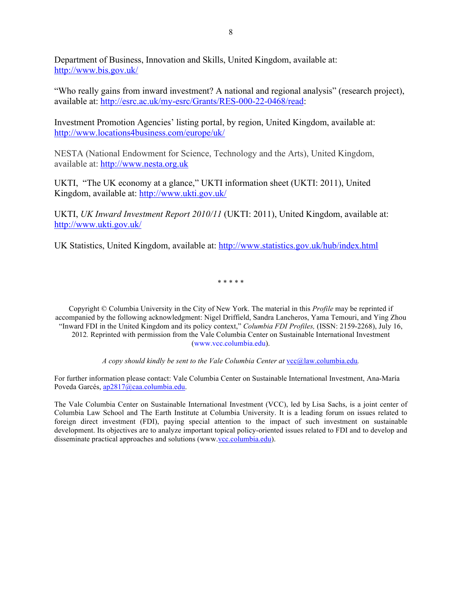Department of Business, Innovation and Skills, United Kingdom, available at: http://www.bis.gov.uk/

"Who really gains from inward investment? A national and regional analysis" (research project), available at: http://esrc.ac.uk/my-esrc/Grants/RES-000-22-0468/read:

Investment Promotion Agencies' listing portal, by region, United Kingdom, available at: http://www.locations4business.com/europe/uk/

NESTA (National Endowment for Science, Technology and the Arts), United Kingdom, available at: http://www.nesta.org.uk

UKTI, "The UK economy at a glance," UKTI information sheet (UKTI: 2011), United Kingdom, available at: http://www.ukti.gov.uk/

UKTI, *UK Inward Investment Report 2010/11* (UKTI: 2011), United Kingdom, available at: http://www.ukti.gov.uk/

UK Statistics, United Kingdom, available at: http://www.statistics.gov.uk/hub/index.html

\* \* \* \* \*

Copyright © Columbia University in the City of New York. The material in this *Profile* may be reprinted if accompanied by the following acknowledgment: Nigel Driffield, Sandra Lancheros, Yama Temouri, and Ying Zhou "Inward FDI in the United Kingdom and its policy context," *Columbia FDI Profiles,* (ISSN: 2159-2268), July 16, 2012*.* Reprinted with permission from the Vale Columbia Center on Sustainable International Investment (www.vcc.columbia.edu).

*A copy should kindly be sent to the Vale Columbia Center at*  $\text{vcc@law.columbia.edu}$ *.* 

For further information please contact: Vale Columbia Center on Sustainable International Investment, Ana-María Poveda Garcés, ap2817@caa.columbia.edu.

The Vale Columbia Center on Sustainable International Investment (VCC), led by Lisa Sachs, is a joint center of Columbia Law School and The Earth Institute at Columbia University. It is a leading forum on issues related to foreign direct investment (FDI), paying special attention to the impact of such investment on sustainable development. Its objectives are to analyze important topical policy-oriented issues related to FDI and to develop and disseminate practical approaches and solutions (www.vcc.columbia.edu).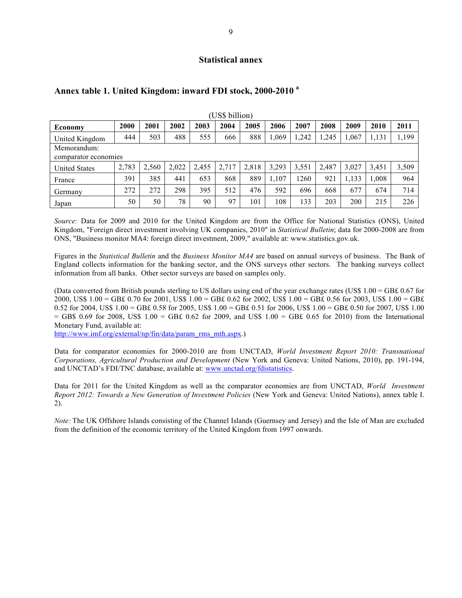#### **Statistical annex**

| (US\$ billion)       |                      |       |       |       |       |       |       |       |       |       |       |       |
|----------------------|----------------------|-------|-------|-------|-------|-------|-------|-------|-------|-------|-------|-------|
| <b>Economy</b>       | 2000                 | 2001  | 2002  | 2003  | 2004  | 2005  | 2006  | 2007  | 2008  | 2009  | 2010  | 2011  |
| United Kingdom       | 444                  | 503   | 488   | 555   | 666   | 888   | 1,069 | 1,242 | 1,245 | 1,067 | 1,131 | 1,199 |
| Memorandum:          |                      |       |       |       |       |       |       |       |       |       |       |       |
|                      | comparator economies |       |       |       |       |       |       |       |       |       |       |       |
| <b>United States</b> | 2,783                | 2,560 | 2.022 | 2,455 | 2.717 | 2,818 | 3,293 | 3,551 | 2.487 | 3,027 | 3,451 | 3,509 |
| France               | 391                  | 385   | 441   | 653   | 868   | 889   | 1,107 | 1260  | 921   | 1,133 | 1.008 | 964   |
| Germany              | 272                  | 272   | 298   | 395   | 512   | 476   | 592   | 696   | 668   | 677   | 674   | 714   |
| Japan                | 50                   | 50    | 78    | 90    | 97    | 101   | 108   | 133   | 203   | 200   | 215   | 226   |

#### **Annex table 1. United Kingdom: inward FDI stock, 2000-2010 <sup>a</sup>**

*Source:* Data for 2009 and 2010 for the United Kingdom are from the Office for National Statistics (ONS), United Kingdom, "Foreign direct investment involving UK companies, 2010" in *Statistical Bulletin*; data for 2000-2008 are from ONS, "Business monitor MA4: foreign direct investment, 2009," available at: www.statistics.gov.uk.

Figures in the *Statistical Bulletin* and the *Business Monitor MA4* are based on annual surveys of business. The Bank of England collects information for the banking sector, and the ONS surveys other sectors. The banking surveys collect information from all banks. Other sector surveys are based on samples only.

(Data converted from British pounds sterling to US dollars using end of the year exchange rates (US\$ 1.00 = GB£ 0.67 for 2000, US\$ 1.00 = GB£ 0.70 for 2001, US\$ 1.00 = GB£ 0.62 for 2002, US\$ 1.00 = GB£ 0.56 for 2003, US\$ 1.00 = GB£ 0.52 for 2004, US\$ 1.00 = GB£ 0.58 for 2005, US\$ 1.00 = GB£ 0.51 for 2006, US\$ 1.00 = GB£ 0.50 for 2007, US\$ 1.00  $=$  GB\$ 0.69 for 2008, US\$ 1.00 = GB£ 0.62 for 2009, and US\$ 1.00 = GB£ 0.65 for 2010) from the International Monetary Fund, available at:

http://www.imf.org/external/np/fin/data/param\_rms\_mth.aspx.)

Data for comparator economies for 2000-2010 are from UNCTAD, *World Investment Report 2010: Transnational Corporations, Agricultural Production and Development* (New York and Geneva: United Nations, 2010), pp. 191-194, and UNCTAD's FDI/TNC database, available at: www.unctad.org/fdistatistics.

Data for 2011 for the United Kingdom as well as the comparator economies are from UNCTAD, *World Investment Report 2012: Towards a New Generation of Investment Policies* (New York and Geneva: United Nations), annex table I. 2).

*Note:* The UK Offshore Islands consisting of the Channel Islands (Guernsey and Jersey) and the Isle of Man are excluded from the definition of the economic territory of the United Kingdom from 1997 onwards.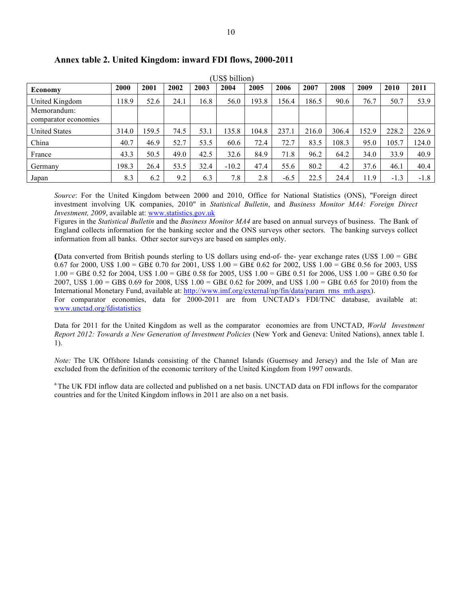| (US\$ billion)                      |       |       |      |      |         |       |        |       |       |       |        |        |
|-------------------------------------|-------|-------|------|------|---------|-------|--------|-------|-------|-------|--------|--------|
| Economy                             | 2000  | 2001  | 2002 | 2003 | 2004    | 2005  | 2006   | 2007  | 2008  | 2009  | 2010   | 2011   |
| United Kingdom                      | 118.9 | 52.6  | 24.1 | 16.8 | 56.0    | 193.8 | 156.4  | 186.5 | 90.6  | 76.7  | 50.7   | 53.9   |
| Memorandum:<br>comparator economies |       |       |      |      |         |       |        |       |       |       |        |        |
| <b>United States</b>                | 314.0 | 159.5 | 74.5 | 53.1 | 135.8   | 104.8 | 237.1  | 216.0 | 306.4 | 152.9 | 228.2  | 226.9  |
| China                               | 40.7  | 46.9  | 52.7 | 53.5 | 60.6    | 72.4  | 72.7   | 83.5  | 108.3 | 95.0  | 105.7  | 124.0  |
| France                              | 43.3  | 50.5  | 49.0 | 42.5 | 32.6    | 84.9  | 71.8   | 96.2  | 64.2  | 34.0  | 33.9   | 40.9   |
| Germany                             | 198.3 | 26.4  | 53.5 | 32.4 | $-10.2$ | 47.4  | 55.6   | 80.2  | 4.2   | 37.6  | 46.1   | 40.4   |
| Japan                               | 8.3   | 6.2   | 9.2  | 6.3  | 7.8     | 2.8   | $-6.5$ | 22.5  | 24.4  | 11.9  | $-1.3$ | $-1.8$ |

#### **Annex table 2. United Kingdom: inward FDI flows, 2000-2011**

*Source*: For the United Kingdom between 2000 and 2010, Office for National Statistics (ONS), "Foreign direct investment involving UK companies, 2010" in *Statistical Bulletin*, and *Business Monitor MA4: Foreign Direct Investment, 2009*, available at: www.statistics.gov.uk

Figures in the *Statistical Bulletin* and the *Business Monitor MA4* are based on annual surveys of business. The Bank of England collects information for the banking sector and the ONS surveys other sectors. The banking surveys collect information from all banks. Other sector surveys are based on samples only.

**(**Data converted from British pounds sterling to US dollars using end-of- the- year exchange rates (US\$ 1.00 = GB£ 0.67 for 2000, US\$  $1.00 = GBE 0.70$  for 2001, US\$  $1.00 = GBE 0.62$  for 2002, US\$  $1.00 = GBE 0.56$  for 2003, US\$ 1.00 = GB£ 0.52 for 2004, US\$ 1.00 = GB£ 0.58 for 2005, US\$ 1.00 = GB£ 0.51 for 2006, US\$ 1.00 = GB£ 0.50 for 2007, US\$ 1.00 = GB\$ 0.69 for 2008, US\$ 1.00 = GB£ 0.62 for 2009, and US\$ 1.00 = GB£ 0.65 for 2010) from the International Monetary Fund, available at: http://www.imf.org/external/np/fin/data/param\_rms\_mth.aspx). For comparator economies, data for 2000-2011 are from UNCTAD's FDI/TNC database, available at: www.unctad.org/fdistatistics

Data for 2011 for the United Kingdom as well as the comparator economies are from UNCTAD, *World Investment Report 2012: Towards a New Generation of Investment Policies* (New York and Geneva: United Nations), annex table I. 1).

*Note:* The UK Offshore Islands consisting of the Channel Islands (Guernsey and Jersey) and the Isle of Man are excluded from the definition of the economic territory of the United Kingdom from 1997 onwards.

<sup>a</sup> The UK FDI inflow data are collected and published on a net basis. UNCTAD data on FDI inflows for the comparator countries and for the United Kingdom inflows in 2011 are also on a net basis.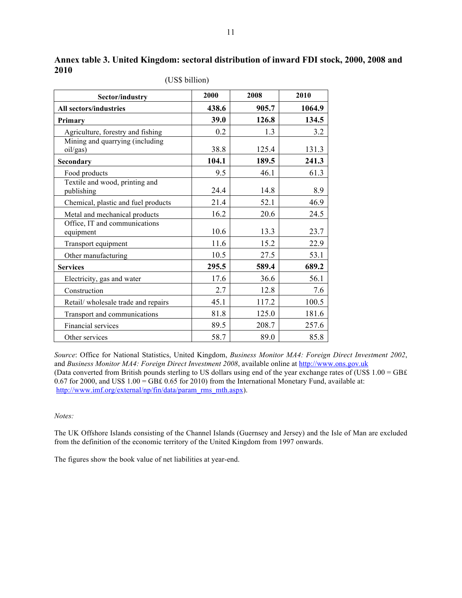| Sector/industry                              | 2000  | 2008  | 2010   |
|----------------------------------------------|-------|-------|--------|
| <b>All sectors/industries</b>                | 438.6 | 905.7 | 1064.9 |
| Primary                                      | 39.0  | 126.8 | 134.5  |
| Agriculture, forestry and fishing            | 0.2   | 1.3   | 3.2    |
| Mining and quarrying (including<br>oil/gas)  | 38.8  | 125.4 | 131.3  |
| Secondary                                    | 104.1 | 189.5 | 241.3  |
| Food products                                | 9.5   | 46.1  | 61.3   |
| Textile and wood, printing and<br>publishing | 24.4  | 14.8  | 8.9    |
| Chemical, plastic and fuel products          | 21.4  | 52.1  | 46.9   |
| Metal and mechanical products                | 16.2  | 20.6  | 24.5   |
| Office, IT and communications<br>equipment   | 10.6  | 13.3  | 23.7   |
| Transport equipment                          | 11.6  | 15.2  | 22.9   |
| Other manufacturing                          | 10.5  | 27.5  | 53.1   |
| <b>Services</b>                              | 295.5 | 589.4 | 689.2  |
| Electricity, gas and water                   | 17.6  | 36.6  | 56.1   |
| Construction                                 | 2.7   | 12.8  | 7.6    |
| Retail/ wholesale trade and repairs          | 45.1  | 117.2 | 100.5  |
| Transport and communications                 | 81.8  | 125.0 | 181.6  |
| Financial services                           | 89.5  | 208.7 | 257.6  |
| Other services                               | 58.7  | 89.0  | 85.8   |

**Annex table 3. United Kingdom: sectoral distribution of inward FDI stock, 2000, 2008 and 2010** (US\$ billion)

*Source*: Office for National Statistics, United Kingdom, *Business Monitor MA4: Foreign Direct Investment 2002*, and *Business Monitor MA4: Foreign Direct Investment 2008*, available online at http://www.ons.gov.uk (Data converted from British pounds sterling to US dollars using end of the year exchange rates of (US\$ 1.00 = GB£ 0.67 for 2000, and US\$ 1.00 = GB£ 0.65 for 2010) from the International Monetary Fund, available at: http://www.imf.org/external/np/fin/data/param\_rms\_mth.aspx).

#### *Notes:*

The UK Offshore Islands consisting of the Channel Islands (Guernsey and Jersey) and the Isle of Man are excluded from the definition of the economic territory of the United Kingdom from 1997 onwards.

The figures show the book value of net liabilities at year-end.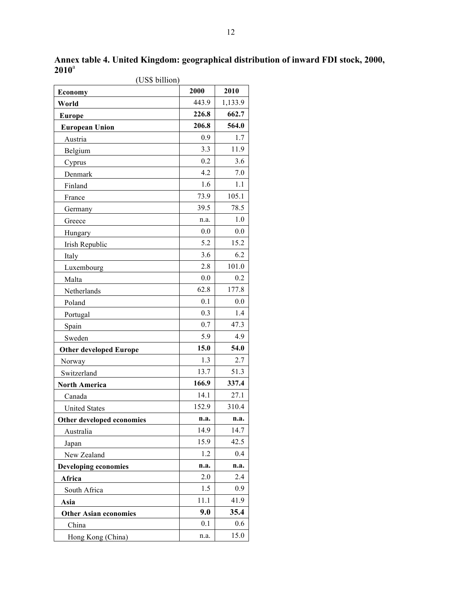|                               | (US\$ billion) |         |  |  |  |  |  |
|-------------------------------|----------------|---------|--|--|--|--|--|
| Economy                       | 2000           | 2010    |  |  |  |  |  |
| World                         | 443.9          | 1,133.9 |  |  |  |  |  |
| <b>Europe</b>                 | 226.8          | 662.7   |  |  |  |  |  |
| <b>European Union</b>         | 206.8          | 564.0   |  |  |  |  |  |
| Austria                       | 0.9            | 1.7     |  |  |  |  |  |
| Belgium                       | 3.3            | 11.9    |  |  |  |  |  |
| Cyprus                        | 0.2            | 3.6     |  |  |  |  |  |
| Denmark                       | 4.2            | 7.0     |  |  |  |  |  |
| Finland                       | 1.6            | 1.1     |  |  |  |  |  |
| France                        | 73.9           | 105.1   |  |  |  |  |  |
| Germany                       | 39.5           | 78.5    |  |  |  |  |  |
| Greece                        | n.a.           | 1.0     |  |  |  |  |  |
| Hungary                       | 0.0            | 0.0     |  |  |  |  |  |
| Irish Republic                | 5.2            | 15.2    |  |  |  |  |  |
| Italy                         | 3.6            | 6.2     |  |  |  |  |  |
| Luxembourg                    | 2.8            | 101.0   |  |  |  |  |  |
| Malta                         | 0.0            | 0.2     |  |  |  |  |  |
| Netherlands                   | 62.8           | 177.8   |  |  |  |  |  |
| Poland                        | 0.1            | 0.0     |  |  |  |  |  |
| Portugal                      | 0.3            | 1.4     |  |  |  |  |  |
| Spain                         | 0.7            | 47.3    |  |  |  |  |  |
| Sweden                        | 5.9            | 4.9     |  |  |  |  |  |
| <b>Other developed Europe</b> | 15.0           | 54.0    |  |  |  |  |  |
| Norway                        | 1.3            | 2.7     |  |  |  |  |  |
| Switzerland                   | 13.7           | 51.3    |  |  |  |  |  |
| <b>North America</b>          | 166.9          | 337.4   |  |  |  |  |  |
| Canada                        | 14.1           | 27.1    |  |  |  |  |  |
| <b>United States</b>          | 152.9          | 310.4   |  |  |  |  |  |
| Other developed economies     | n.a.           | n.a.    |  |  |  |  |  |
| Australia                     | 14.9           | 14.7    |  |  |  |  |  |
| Japan                         | 15.9           | 42.5    |  |  |  |  |  |
| New Zealand                   | 1.2            | 0.4     |  |  |  |  |  |
| <b>Developing economies</b>   | n.a.           | n.a.    |  |  |  |  |  |
| Africa                        | 2.0            | 2.4     |  |  |  |  |  |
| South Africa                  | 1.5            | 0.9     |  |  |  |  |  |
| Asia                          | 11.1           | 41.9    |  |  |  |  |  |
| <b>Other Asian economies</b>  | 9.0            | 35.4    |  |  |  |  |  |
| China                         | 0.1            | 0.6     |  |  |  |  |  |
| Hong Kong (China)             | n.a.           | 15.0    |  |  |  |  |  |

**Annex table 4. United Kingdom: geographical distribution of inward FDI stock, 2000, 2010**<sup>a</sup>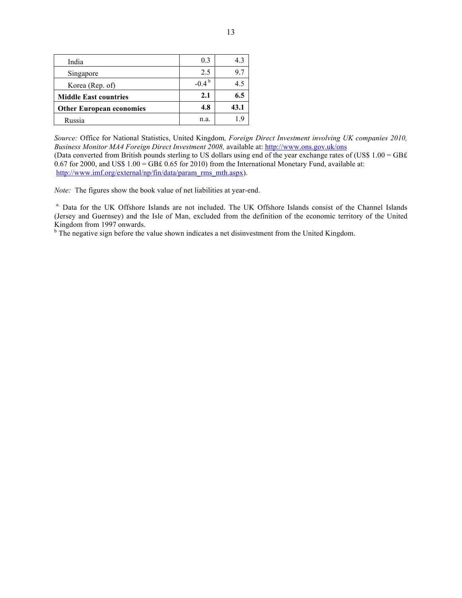| India                           | 0.3                 | 43   |
|---------------------------------|---------------------|------|
| Singapore                       | 2.5                 | 97   |
| Korea (Rep. of)                 | $-0.4^{\mathrm{b}}$ | 45   |
| <b>Middle East countries</b>    | 2.1                 | 6.5  |
| <b>Other European economies</b> | 4.8                 | 43.1 |
| Russia                          | n.a.                |      |

*Source:* Office for National Statistics, United Kingdom*, Foreign Direct Investment involving UK companies 2010, Business Monitor MA4 Foreign Direct Investment 2008, available at: http://www.ons.gov.uk/ons* (Data converted from British pounds sterling to US dollars using end of the year exchange rates of (US\$ 1.00 = GB£ 0.67 for 2000, and US\$ 1.00 = GB£ 0.65 for 2010) from the International Monetary Fund, available at: http://www.imf.org/external/np/fin/data/param\_rms\_mth.aspx).

*Note:* The figures show the book value of net liabilities at year-end.

a. Data for the UK Offshore Islands are not included. The UK Offshore Islands consist of the Channel Islands (Jersey and Guernsey) and the Isle of Man, excluded from the definition of the economic territory of the United Kingdom from 1997 onwards.

<sup>b</sup> The negative sign before the value shown indicates a net disinvestment from the United Kingdom.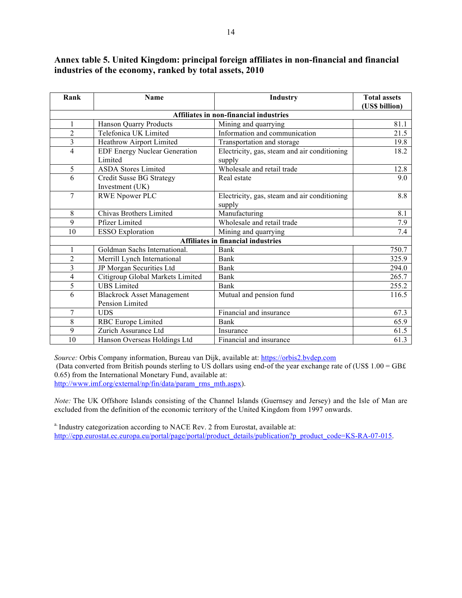#### **Annex table 5. United Kingdom: principal foreign affiliates in non-financial and financial industries of the economy, ranked by total assets, 2010**

| Rank           | Name                                 | Industry                                     | <b>Total assets</b> |
|----------------|--------------------------------------|----------------------------------------------|---------------------|
|                |                                      |                                              | (US\$ billion)      |
|                |                                      | Affiliates in non-financial industries       |                     |
| 1              | <b>Hanson Quarry Products</b>        | Mining and quarrying                         | 81.1                |
| $\overline{2}$ | Telefonica UK Limited                | Information and communication                | 21.5                |
| 3              | Heathrow Airport Limited             | Transportation and storage                   | 19.8                |
| 4              | <b>EDF Energy Nuclear Generation</b> | Electricity, gas, steam and air conditioning | 18.2                |
|                | Limited                              | supply                                       |                     |
| 5              | <b>ASDA Stores Limited</b>           | Wholesale and retail trade                   | 12.8                |
| 6              | <b>Credit Susse BG Strategy</b>      | Real estate                                  | 9.0                 |
|                | Investment (UK)                      |                                              |                     |
| $\overline{7}$ | <b>RWE Npower PLC</b>                | Electricity, gas, steam and air conditioning | 8.8                 |
|                |                                      | supply                                       |                     |
| 8              | Chivas Brothers Limited              | Manufacturing                                | 8.1                 |
| 9              | <b>Pfizer Limited</b>                | Wholesale and retail trade                   | 7.9                 |
| 10             | <b>ESSO</b> Exploration              | Mining and quarrying                         | 7.4                 |
|                |                                      | <b>Affiliates in financial industries</b>    |                     |
| 1              | Goldman Sachs International.         | Bank                                         | 750.7               |
| 2              | Merrill Lynch International          | Bank                                         | 325.9               |
| 3              | JP Morgan Securities Ltd             | Bank                                         | 294.0               |
| 4              | Citigroup Global Markets Limited     | Bank                                         | 265.7               |
| 5              | <b>UBS</b> Limited                   | Bank                                         | 255.2               |
| 6              | <b>Blackrock Asset Management</b>    | Mutual and pension fund                      | 116.5               |
|                | Pension Limited                      |                                              |                     |
| $\overline{7}$ | <b>UDS</b>                           | Financial and insurance                      | 67.3                |
| 8              | RBC Europe Limited                   | Bank                                         | 65.9                |
| 9              | Zurich Assurance Ltd                 | Insurance                                    | 61.5                |
| 10             | Hanson Overseas Holdings Ltd         | Financial and insurance                      | 61.3                |

*Source:* Orbis Company information, Bureau van Dijk, available at: https://orbis2.bvdep.com

(Data converted from British pounds sterling to US dollars using end-of the year exchange rate of (US\$  $1.00 = GBE$ ) 0.65) from the International Monetary Fund, available at:

http://www.imf.org/external/np/fin/data/param\_rms\_mth.aspx).

*Note:* The UK Offshore Islands consisting of the Channel Islands (Guernsey and Jersey) and the Isle of Man are excluded from the definition of the economic territory of the United Kingdom from 1997 onwards.

<sup>a.</sup> Industry categorization according to NACE Rev. 2 from Eurostat, available at: http://epp.eurostat.ec.europa.eu/portal/page/portal/product\_details/publication?p\_product\_code=KS-RA-07-015.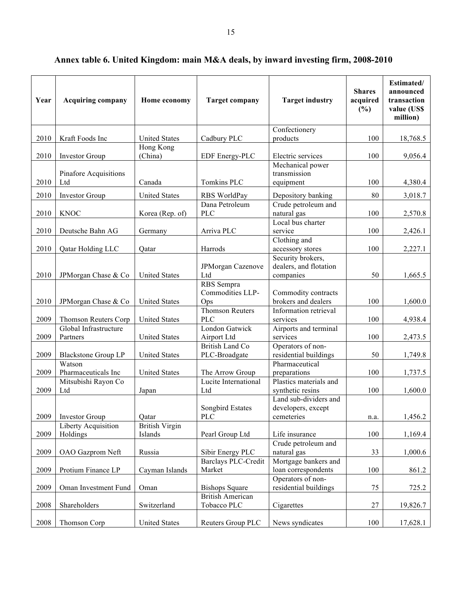| Year | <b>Acquiring company</b>               | Home economy                     | <b>Target company</b>                        | <b>Target industry</b>                                    | <b>Shares</b><br>acquired<br>(%) | Estimated/<br>announced<br>transaction<br>value (US\$<br>million) |
|------|----------------------------------------|----------------------------------|----------------------------------------------|-----------------------------------------------------------|----------------------------------|-------------------------------------------------------------------|
| 2010 | Kraft Foods Inc                        | <b>United States</b>             | Cadbury PLC                                  | Confectionery<br>products                                 | 100                              | 18,768.5                                                          |
|      |                                        | Hong Kong                        |                                              |                                                           |                                  |                                                                   |
| 2010 | <b>Investor Group</b>                  | (China)                          | EDF Energy-PLC                               | Electric services                                         | 100                              | 9,056.4                                                           |
| 2010 | Pinafore Acquisitions<br>Ltd           | Canada                           | Tomkins PLC                                  | Mechanical power<br>transmission<br>equipment             | 100                              | 4,380.4                                                           |
|      |                                        |                                  |                                              |                                                           |                                  |                                                                   |
| 2010 | <b>Investor Group</b>                  | <b>United States</b>             | RBS WorldPay<br>Dana Petroleum               | Depository banking<br>Crude petroleum and                 | 80                               | 3,018.7                                                           |
| 2010 | <b>KNOC</b>                            | Korea (Rep. of)                  | <b>PLC</b>                                   | natural gas                                               | 100                              | 2,570.8                                                           |
| 2010 | Deutsche Bahn AG                       | Germany                          | Arriva PLC                                   | Local bus charter<br>service                              | 100                              | 2,426.1                                                           |
| 2010 | Qatar Holding LLC                      | Qatar                            | Harrods                                      | Clothing and<br>accessory stores                          | 100                              | 2,227.1                                                           |
| 2010 | JPMorgan Chase & Co                    | <b>United States</b>             | JPMorgan Cazenove<br>Ltd                     | Security brokers,<br>dealers, and flotation<br>companies  | 50                               | 1,665.5                                                           |
| 2010 | JPMorgan Chase & Co                    | <b>United States</b>             | <b>RBS</b> Sempra<br>Commodities LLP-<br>Ops | Commodity contracts<br>brokers and dealers                | 100                              | 1,600.0                                                           |
| 2009 | Thomson Reuters Corp                   | <b>United States</b>             | Thomson Reuters<br><b>PLC</b>                | Information retrieval<br>services                         | 100                              | 4,938.4                                                           |
| 2009 | Global Infrastructure<br>Partners      | <b>United States</b>             | London Gatwick<br>Airport Ltd                | Airports and terminal<br>services                         | 100                              | 2,473.5                                                           |
| 2009 | <b>Blackstone Group LP</b>             | <b>United States</b>             | <b>British Land Co</b><br>PLC-Broadgate      | Operators of non-<br>residential buildings                | 50                               | 1,749.8                                                           |
| 2009 | Watson<br>Pharmaceuticals Inc          | <b>United States</b>             | The Arrow Group                              | Pharmaceutical<br>preparations                            | 100                              | 1,737.5                                                           |
| 2009 | Mitsubishi Rayon Co<br>Ltd             | Japan                            | Lucite International<br>Ltd                  | Plastics materials and<br>synthetic resins                | 100                              | 1,600.0                                                           |
| 2009 | <b>Investor Group</b>                  | Qatar                            | Songbird Estates<br><b>PLC</b>               | Land sub-dividers and<br>developers, except<br>cemeteries | n.a.                             | 1,456.2                                                           |
| 2009 | <b>Liberty Acquisition</b><br>Holdings | <b>British Virgin</b><br>Islands | Pearl Group Ltd                              | Life insurance                                            | 100                              | 1,169.4                                                           |
| 2009 | OAO Gazprom Neft                       | Russia                           | Sibir Energy PLC                             | Crude petroleum and<br>natural gas                        | 33                               | 1,000.6                                                           |
| 2009 | Protium Finance LP                     | Cayman Islands                   | <b>Barclays PLC-Credit</b><br>Market         | Mortgage bankers and<br>loan correspondents               | 100                              | 861.2                                                             |
| 2009 | Oman Investment Fund                   | Oman                             | <b>Bishops Square</b>                        | Operators of non-<br>residential buildings                | 75                               | 725.2                                                             |
| 2008 | Shareholders                           | Switzerland                      | <b>British American</b><br>Tobacco PLC       | Cigarettes                                                | 27                               | 19,826.7                                                          |
| 2008 | Thomson Corp                           | <b>United States</b>             | Reuters Group PLC                            | News syndicates                                           | 100                              | 17,628.1                                                          |

## **Annex table 6. United Kingdom: main M&A deals, by inward investing firm, 2008-2010**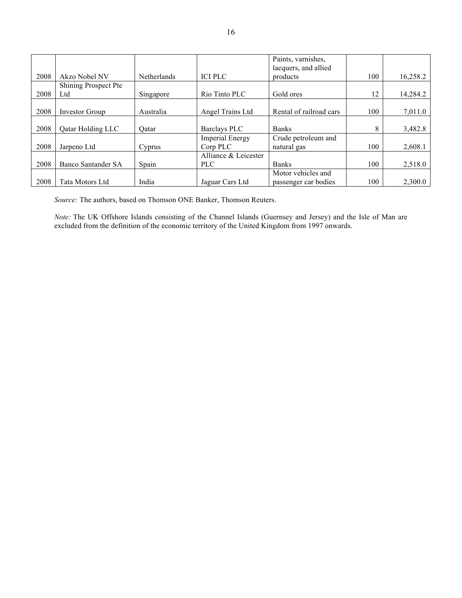|      |                           |                    |                        | Paints, varnishes,               |     |          |
|------|---------------------------|--------------------|------------------------|----------------------------------|-----|----------|
| 2008 | Akzo Nobel NV             | <b>Netherlands</b> | <b>ICI PLC</b>         | lacquers, and allied<br>products | 100 | 16,258.2 |
|      |                           |                    |                        |                                  |     |          |
|      | Shining Prospect Pte      |                    |                        |                                  |     |          |
| 2008 | Ltd                       | Singapore          | Rio Tinto PLC          | Gold ores                        | 12  | 14,284.2 |
|      |                           |                    |                        |                                  |     |          |
| 2008 | <b>Investor Group</b>     | Australia          | Angel Trains Ltd       | Rental of railroad cars          | 100 | 7,011.0  |
|      |                           |                    |                        |                                  |     |          |
| 2008 | <b>Qatar Holding LLC</b>  | Oatar              | Barclays PLC           | <b>Banks</b>                     | 8   | 3,482.8  |
|      |                           |                    | <b>Imperial Energy</b> | Crude petroleum and              |     |          |
| 2008 | Jarpeno Ltd               | Cyprus             | Corp PLC               | natural gas                      | 100 | 2,608.1  |
|      |                           |                    | Alliance & Leicester   |                                  |     |          |
| 2008 | <b>Banco Santander SA</b> | Spain              | <b>PLC</b>             | <b>Banks</b>                     | 100 | 2,518.0  |
|      |                           |                    |                        | Motor vehicles and               |     |          |
| 2008 | Tata Motors Ltd           | India              | Jaguar Cars Ltd        | passenger car bodies             | 100 | 2,300.0  |

*Source:* The authors, based on Thomson ONE Banker, Thomson Reuters.

*Note:* The UK Offshore Islands consisting of the Channel Islands (Guernsey and Jersey) and the Isle of Man are excluded from the definition of the economic territory of the United Kingdom from 1997 onwards.